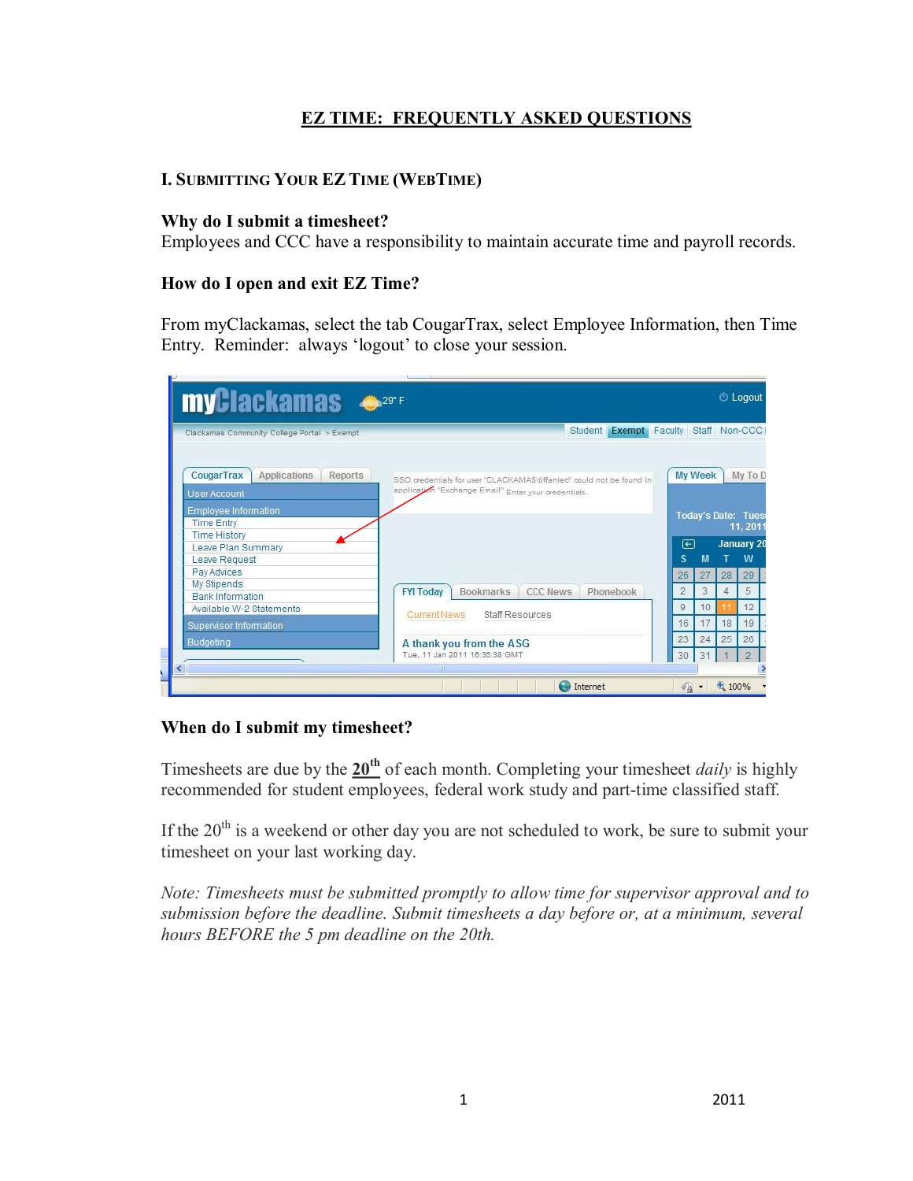# **EZ TIME: FREQUENTLY ASKED QUESTIONS**

# **I. SUBMITTING YOUR EZ TIME (WEBTIME)**

### **Why do I submit a timesheet?**

Employees and CCC have a responsibility to maintain accurate time and payroll records.

### **How do I open and exit EZ Time?**

From myClackamas, select the tab CougarTrax, select Employee Information, then Time Entry. Reminder: always 'logout' to close your session.



#### **When do I submit my timesheet?**

Timesheets are due by the  $20<sup>th</sup>$  of each month. Completing your timesheet *daily* is highly recommended for student employees, federal work study and part-time classified staff.

If the  $20<sup>th</sup>$  is a weekend or other day you are not scheduled to work, be sure to submit your timesheet on your last working day.

*Note: Timesheets must be submitted promptly to allow time for supervisor approval and to submission before the deadline. Submit timesheets a day before or, at a minimum, several hours BEFORE the 5 pm deadline on the 20th.*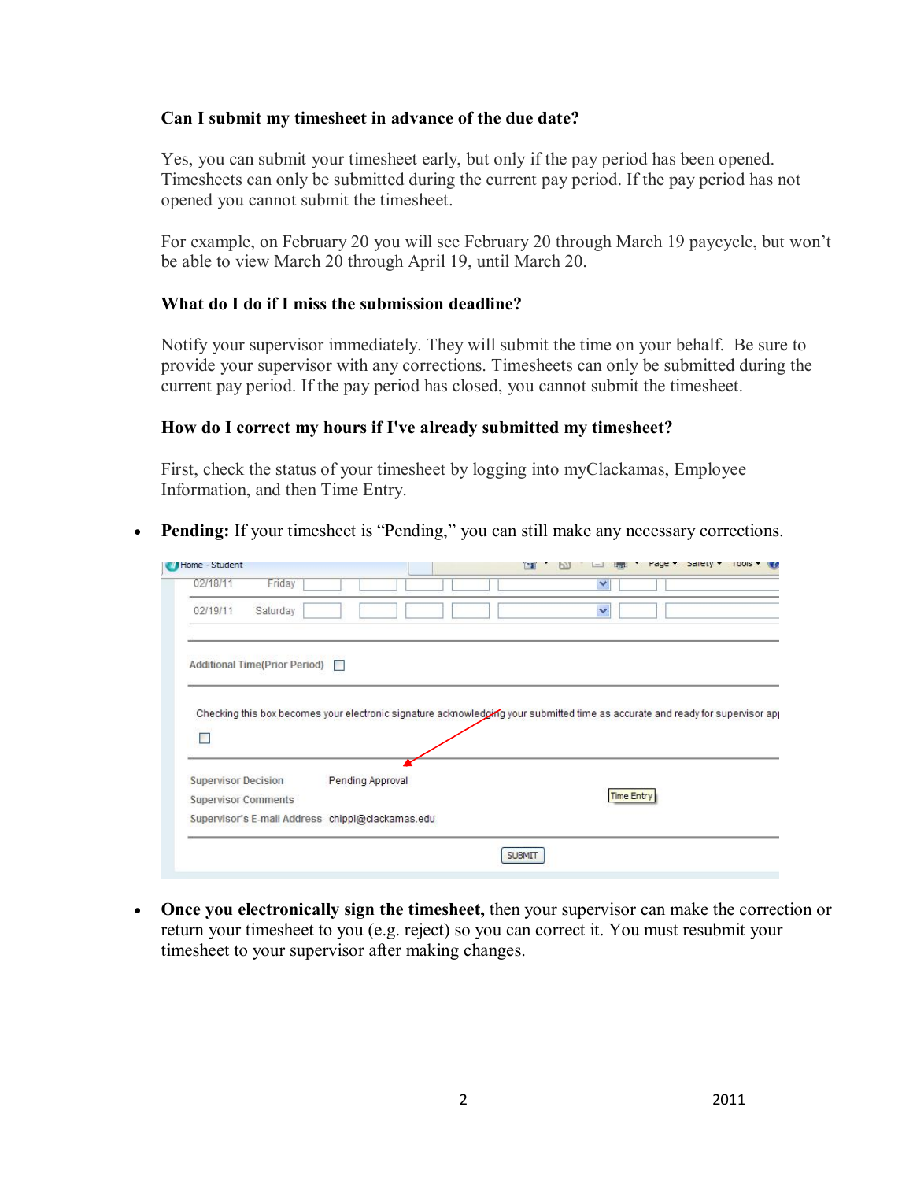#### **Can I submit my timesheet in advance of the due date?**

Yes, you can submit your timesheet early, but only if the pay period has been opened. Timesheets can only be submitted during the current pay period. If the pay period has not opened you cannot submit the timesheet.

For example, on February 20 you will see February 20 through March 19 paycycle, but won't be able to view March 20 through April 19, until March 20.

### **What do I do if I miss the submission deadline?**

Notify your supervisor immediately. They will submit the time on your behalf. Be sure to provide your supervisor with any corrections. Timesheets can only be submitted during the current pay period. If the pay period has closed, you cannot submit the timesheet.

### **How do I correct my hours if I've already submitted my timesheet?**

First, check the status of your timesheet by logging into myClackamas, Employee Information, and then Time Entry.

· **Pending:** If your timesheet is "Pending," you can still make any necessary corrections.

|                                                                                                                                |                  |  | ïФN | <b>Lower</b> |                   |  | <b>I UUIS</b> |
|--------------------------------------------------------------------------------------------------------------------------------|------------------|--|-----|--------------|-------------------|--|---------------|
| Friday<br>02/18/11                                                                                                             |                  |  |     | $\checkmark$ |                   |  |               |
| 02/19/11<br>Saturday                                                                                                           |                  |  |     | $\ddotmark$  |                   |  |               |
|                                                                                                                                |                  |  |     |              |                   |  |               |
| Additional Time(Prior Period)                                                                                                  |                  |  |     |              |                   |  |               |
| Checking this box becomes your electronic signature acknowledging your submitted time as accurate and ready for supervisor app |                  |  |     |              |                   |  |               |
| Г                                                                                                                              |                  |  |     |              |                   |  |               |
| <b>Supervisor Decision</b>                                                                                                     | Pending Approval |  |     |              |                   |  |               |
| <b>Supervisor Comments</b>                                                                                                     |                  |  |     |              | <b>Time Entry</b> |  |               |

· **Once you electronically sign the timesheet,** then your supervisor can make the correction or return your timesheet to you (e.g. reject) so you can correct it. You must resubmit your timesheet to your supervisor after making changes.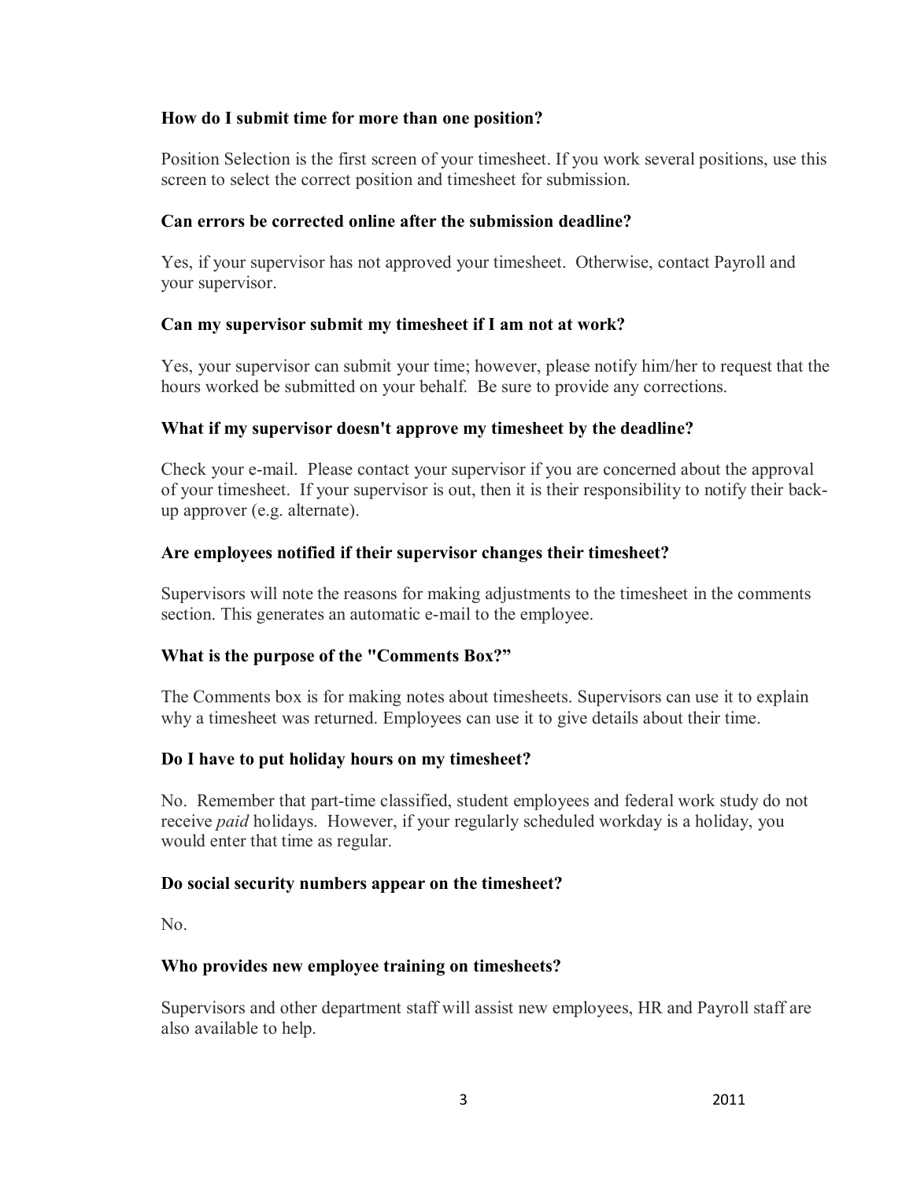### **How do I submit time for more than one position?**

Position Selection is the first screen of your timesheet. If you work several positions, use this screen to select the correct position and timesheet for submission.

### **Can errors be corrected online after the submission deadline?**

Yes, if your supervisor has not approved your timesheet. Otherwise, contact Payroll and your supervisor.

### **Can my supervisor submit my timesheet if I am not at work?**

Yes, your supervisor can submit your time; however, please notify him/her to request that the hours worked be submitted on your behalf. Be sure to provide any corrections.

### **What if my supervisor doesn't approve my timesheet by the deadline?**

Check your e-mail. Please contact your supervisor if you are concerned about the approval of your timesheet. If your supervisor is out, then it is their responsibility to notify their backup approver (e.g. alternate).

### **Are employees notified if their supervisor changes their timesheet?**

Supervisors will note the reasons for making adjustments to the timesheet in the comments section. This generates an automatic e-mail to the employee.

# **What is the purpose of the "Comments Box?"**

The Comments box is for making notes about timesheets. Supervisors can use it to explain why a timesheet was returned. Employees can use it to give details about their time.

#### **Do I have to put holiday hours on my timesheet?**

No. Remember that part-time classified, student employees and federal work study do not receive *paid* holidays. However, if your regularly scheduled workday is a holiday, you would enter that time as regular.

#### **Do social security numbers appear on the timesheet?**

No.

# **Who provides new employee training on timesheets?**

Supervisors and other department staff will assist new employees, HR and Payroll staff are also available to help.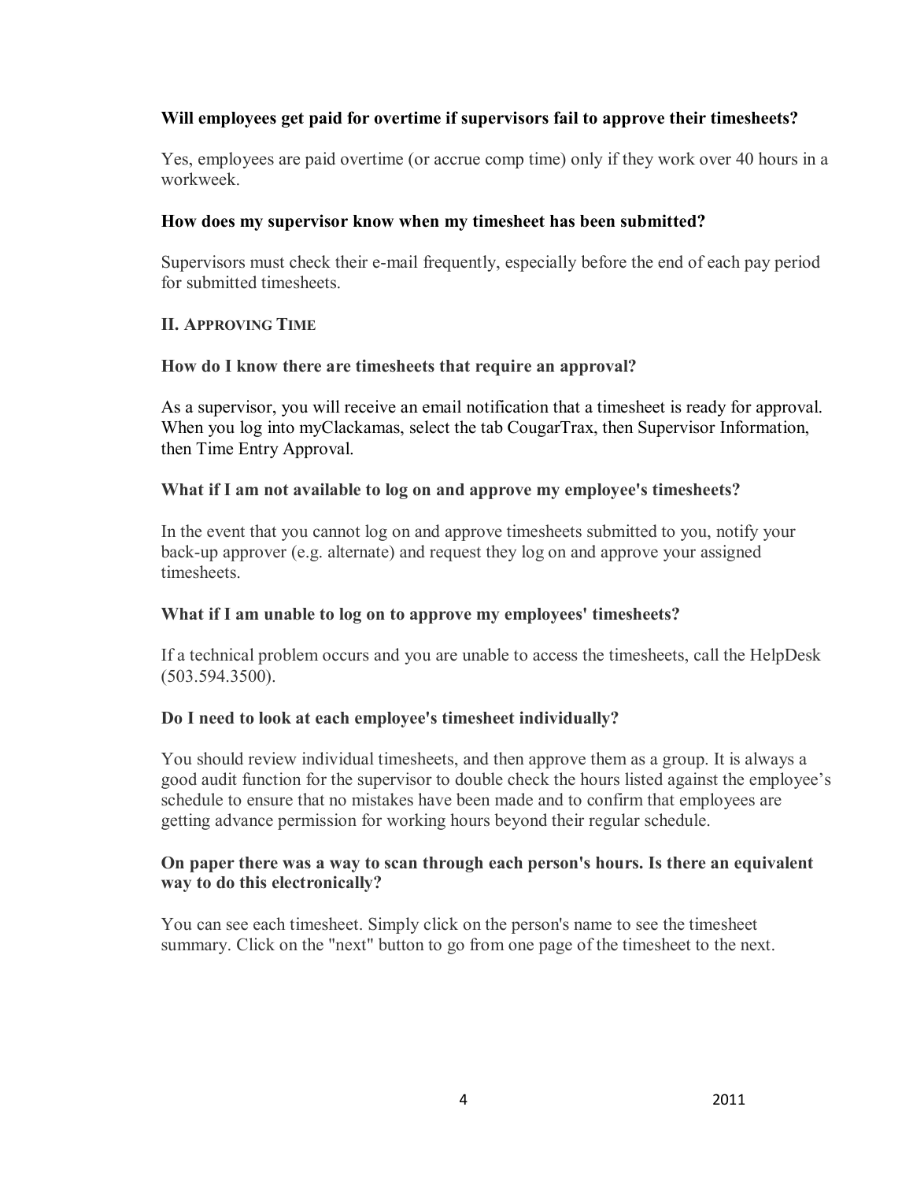# **Will employees get paid for overtime if supervisors fail to approve their timesheets?**

Yes, employees are paid overtime (or accrue comp time) only if they work over 40 hours in a workweek.

### **How does my supervisor know when my timesheet has been submitted?**

Supervisors must check their e-mail frequently, especially before the end of each pay period for submitted timesheets.

### **II. APPROVING TIME**

### **How do I know there are timesheets that require an approval?**

As a supervisor, you will receive an email notification that a timesheet is ready for approval. When you log into myClackamas, select the tab CougarTrax, then Supervisor Information, then Time Entry Approval.

### **What if I am notavailable to log on and approve my employee's timesheets?**

In the event that you cannot log on and approve timesheets submitted to you, notify your back-up approver (e.g. alternate) and request they log on and approve your assigned **timesheets** 

# **What if I am unable to log on to approve my employees' timesheets?**

If a technical problem occurs and you are unable to access the timesheets, call the HelpDesk (503.594.3500).

# **Do I need to look at each employee's timesheet individually?**

You should review individual timesheets, and then approve them as a group. It is always a good audit function for the supervisor to double check the hours listed against the employee's schedule to ensure that no mistakes have been made and to confirm that employees are getting advance permission for working hours beyond their regular schedule.

#### **On paper there was a way to scan through each person's hours. Is there an equivalent way to do this electronically?**

You can see each timesheet. Simply click on the person's name to see the timesheet summary. Click on the "next" button to go from one page of the timesheet to the next.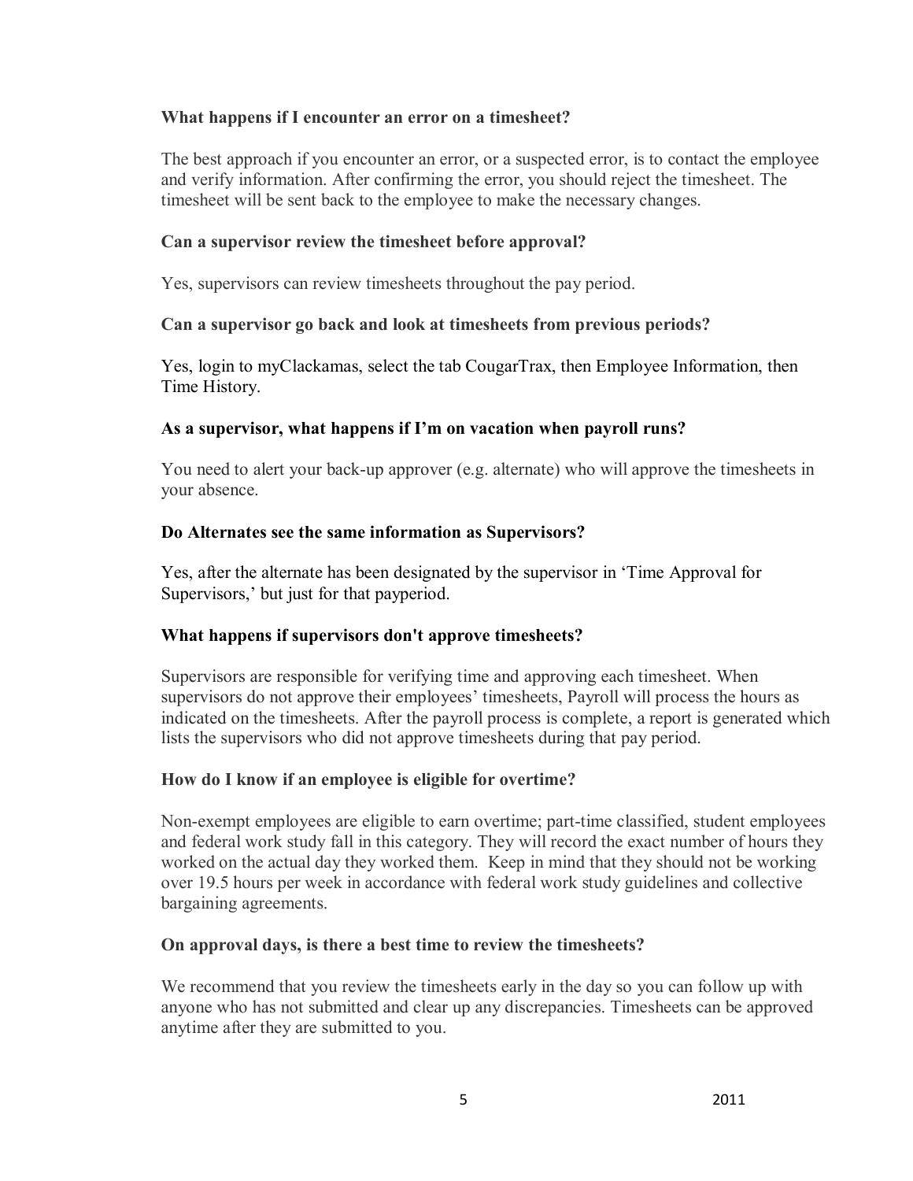### **What happens if I encounter an error on a timesheet?**

The best approach if you encounter an error, or a suspected error, is to contact the employee and verify information. After confirming the error, you should reject the timesheet. The timesheet will be sent back to the employee to make the necessary changes.

### **Can a supervisor review the timesheet before approval?**

Yes, supervisors can review timesheets throughout the pay period.

# **Can a supervisor go back and look at timesheets from previous periods?**

Yes, login to myClackamas, select the tab CougarTrax, then Employee Information, then Time History.

### **As a supervisor, what happens if I'm on vacation when payroll runs?**

You need to alert your back-up approver (e.g. alternate) who will approve the timesheets in your absence.

### **Do Alternates see the same information as Supervisors?**

Yes, after the alternate has been designated by the supervisor in 'Time Approval for Supervisors,' but just for that payperiod.

# **What happens if supervisors don't approve timesheets?**

Supervisors are responsible for verifying time and approving each timesheet. When supervisors do not approve their employees' timesheets, Payroll will process the hours as indicated on the timesheets. After the payroll process is complete, a report is generated which lists the supervisors who did not approve timesheets during that pay period.

# **How do I know if an employee is eligible for overtime?**

Non-exempt employees are eligible to earn overtime; part-time classified, student employees and federal work study fall in this category. They will record the exact number of hours they worked on the actual day they worked them. Keep in mind that they should not be working over 19.5 hours per week in accordance with federal work study guidelines and collective bargaining agreements.

#### **On approval days, is there a best time to review the timesheets?**

We recommend that you review the timesheets early in the day so you can follow up with anyone who has not submitted and clear up any discrepancies. Timesheets can be approved anytime after they are submitted to you.